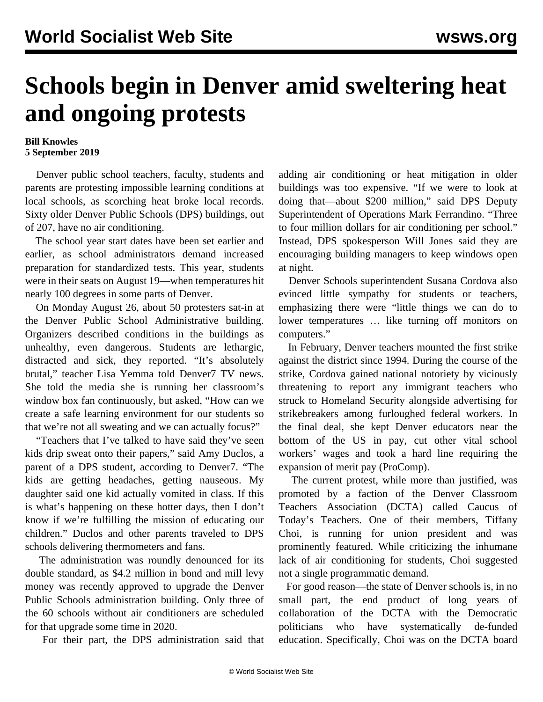## **Schools begin in Denver amid sweltering heat and ongoing protests**

## **Bill Knowles 5 September 2019**

 Denver public school teachers, faculty, students and parents are protesting impossible learning conditions at local schools, as scorching heat broke local records. Sixty older Denver Public Schools (DPS) buildings, out of 207, have no air conditioning.

 The school year start dates have been set earlier and earlier, as school administrators demand increased preparation for standardized tests. This year, students were in their seats on August 19—when temperatures hit nearly 100 degrees in some parts of Denver.

 On Monday August 26, about 50 protesters sat-in at the Denver Public School Administrative building. Organizers described conditions in the buildings as unhealthy, even dangerous. Students are lethargic, distracted and sick, they reported. "It's absolutely brutal," teacher Lisa Yemma told Denver7 TV news. She told the media she is running her classroom's window box fan continuously, but asked, "How can we create a safe learning environment for our students so that we're not all sweating and we can actually focus?"

 "Teachers that I've talked to have said they've seen kids drip sweat onto their papers," said Amy Duclos, a parent of a DPS student, according to Denver7. "The kids are getting headaches, getting nauseous. My daughter said one kid actually vomited in class. If this is what's happening on these hotter days, then I don't know if we're fulfilling the mission of educating our children." Duclos and other parents traveled to DPS schools delivering thermometers and fans.

 The administration was roundly denounced for its double standard, as \$4.2 million in bond and mill levy money was recently approved to upgrade the Denver Public Schools administration building. Only three of the 60 schools without air conditioners are scheduled for that upgrade some time in 2020.

For their part, the DPS administration said that

adding air conditioning or heat mitigation in older buildings was too expensive. "If we were to look at doing that—about \$200 million," said DPS Deputy Superintendent of Operations Mark Ferrandino. "Three to four million dollars for air conditioning per school." Instead, DPS spokesperson Will Jones said they are encouraging building managers to keep windows open at night.

 Denver Schools superintendent Susana Cordova also evinced little sympathy for students or teachers, emphasizing there were "little things we can do to lower temperatures … like turning off monitors on computers."

 In February, Denver teachers mounted the first strike against the district since 1994. During the course of the strike, Cordova gained national notoriety by viciously threatening to report any immigrant teachers who struck to Homeland Security alongside advertising for strikebreakers among furloughed federal workers. In the final deal, she kept Denver educators near the bottom of the US in pay, cut other vital school workers' wages and took [a hard line](/en/articles/2019/02/18/denv-f18.html) requiring the expansion of merit pay (ProComp).

 The current protest, while more than justified, was promoted by a faction of the Denver Classroom Teachers Association (DCTA) called Caucus of Today's Teachers. One of their members, Tiffany Choi, is running for union president and was prominently featured. While criticizing the inhumane lack of air conditioning for students, Choi suggested not a single programmatic demand.

 For good reason—the state of Denver schools is, in no small part, the end product of long years of [collaboration of the DCTA with the Democratic](/en/articles/2019/02/13/denv-f13.html) [politicians](/en/articles/2019/02/13/denv-f13.html) who have systematically de-funded education. Specifically, Choi was on the DCTA board